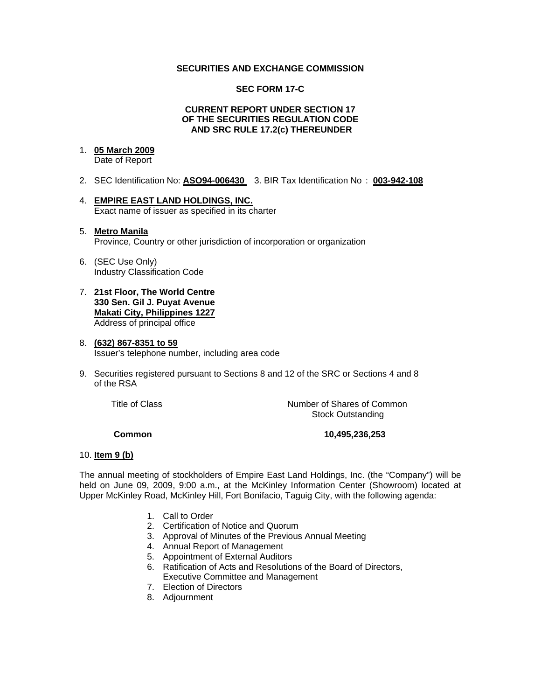### **SECURITIES AND EXCHANGE COMMISSION**

## **SEC FORM 17-C**

#### **CURRENT REPORT UNDER SECTION 17 OF THE SECURITIES REGULATION CODE AND SRC RULE 17.2(c) THEREUNDER**

# 1. **05 March 2009**

Date of Report

- 2. SEC Identification No: **ASO94-006430** 3. BIR Tax Identification No : **003-942-108**
- 4. **EMPIRE EAST LAND HOLDINGS, INC.** Exact name of issuer as specified in its charter

### 5. **Metro Manila** Province, Country or other jurisdiction of incorporation or organization

- 6. (SEC Use Only) Industry Classification Code
- 7. **21st Floor, The World Centre 330 Sen. Gil J. Puyat Avenue Makati City, Philippines 1227** Address of principal office

### 8. **(632) 867-8351 to 59** Issuer's telephone number, including area code

9. Securities registered pursuant to Sections 8 and 12 of the SRC or Sections 4 and 8 of the RSA

 Title of ClassNumber of Shares of Common Stock Outstanding

# **Common 10,495,236,253**

#### 10. **Item 9 (b)**

The annual meeting of stockholders of Empire East Land Holdings, Inc. (the "Company") will be held on June 09, 2009, 9:00 a.m., at the McKinley Information Center (Showroom) located at Upper McKinley Road, McKinley Hill, Fort Bonifacio, Taguig City, with the following agenda:

- 1. Call to Order
- 2. Certification of Notice and Quorum
- 3. Approval of Minutes of the Previous Annual Meeting
- 4. Annual Report of Management
- 5. Appointment of External Auditors
- 6. Ratification of Acts and Resolutions of the Board of Directors, Executive Committee and Management
- 7. Election of Directors
- 8. Adjournment